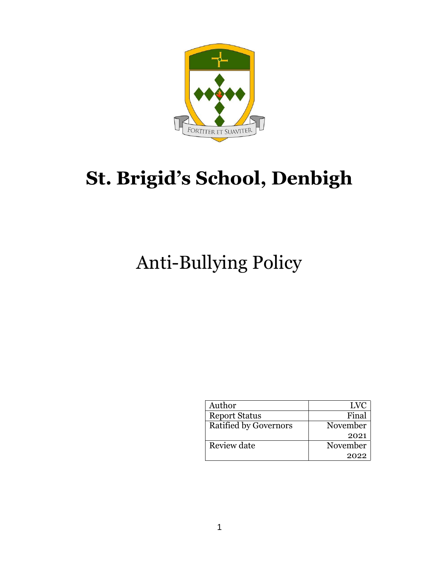

# **St. Brigid's School, Denbigh**

## Anti-Bullying Policy

| Author                       | LVC      |
|------------------------------|----------|
| <b>Report Status</b>         | Final    |
| <b>Ratified by Governors</b> | November |
|                              | 2021     |
| Review date                  | November |
|                              | 2022     |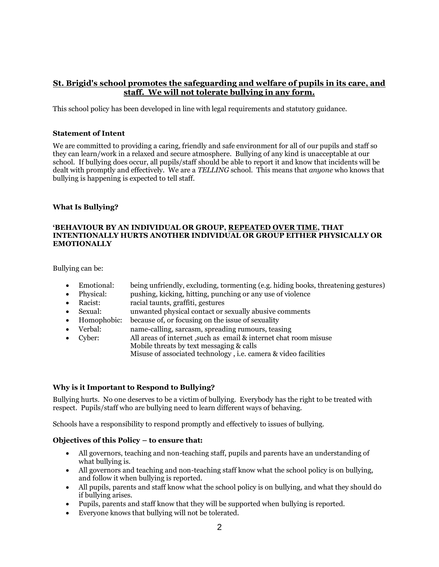## **St. Brigid's school promotes the safeguarding and welfare of pupils in its care, and staff. We will not tolerate bullying in any form.**

This school policy has been developed in line with legal requirements and statutory guidance.

#### **Statement of Intent**

We are committed to providing a caring, friendly and safe environment for all of our pupils and staff so they can learn/work in a relaxed and secure atmosphere. Bullying of any kind is unacceptable at our school. If bullying does occur, all pupils/staff should be able to report it and know that incidents will be dealt with promptly and effectively. We are a *TELLING* school. This means that *anyone* who knows that bullying is happening is expected to tell staff.

#### **What Is Bullying?**

#### **'BEHAVIOUR BY AN INDIVIDUAL OR GROUP, REPEATED OVER TIME, THAT INTENTIONALLY HURTS ANOTHER INDIVIDUAL OR GROUP EITHER PHYSICALLY OR EMOTIONALLY**

Bullying can be:

- Emotional: being unfriendly, excluding, tormenting (e.g. hiding books, threatening gestures)
- Physical: pushing, kicking, hitting, punching or any use of violence
- Racist: racial taunts, graffiti, gestures
- Sexual: unwanted physical contact or sexually abusive comments
- Homophobic: because of, or focusing on the issue of sexuality
- Verbal: name-calling, sarcasm, spreading rumours, teasing
- Cyber: All areas of internet ,such as email & internet chat room misuse Mobile threats by text messaging & calls Misuse of associated technology , i.e. camera & video facilities

#### **Why is it Important to Respond to Bullying?**

Bullying hurts. No one deserves to be a victim of bullying. Everybody has the right to be treated with respect. Pupils/staff who are bullying need to learn different ways of behaving.

Schools have a responsibility to respond promptly and effectively to issues of bullying.

#### **Objectives of this Policy – to ensure that:**

- All governors, teaching and non-teaching staff, pupils and parents have an understanding of what bullying is.
- All governors and teaching and non-teaching staff know what the school policy is on bullying, and follow it when bullying is reported.
- All pupils, parents and staff know what the school policy is on bullying, and what they should do if bullying arises.
- Pupils, parents and staff know that they will be supported when bullying is reported.
- Everyone knows that bullying will not be tolerated.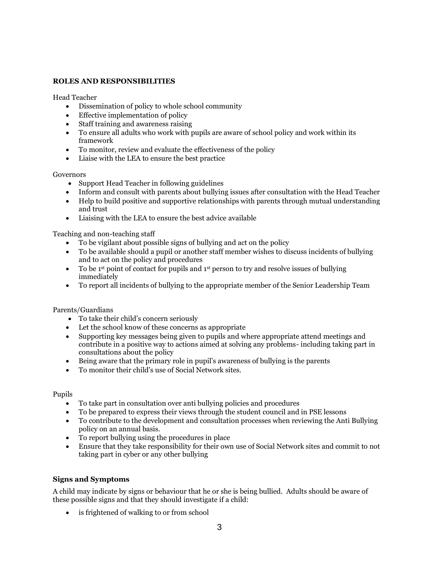#### **ROLES AND RESPONSIBILITIES**

Head Teacher

- Dissemination of policy to whole school community
- Effective implementation of policy
- Staff training and awareness raising
- To ensure all adults who work with pupils are aware of school policy and work within its framework
- To monitor, review and evaluate the effectiveness of the policy
- Liaise with the LEA to ensure the best practice

#### Governors

- Support Head Teacher in following guidelines
- Inform and consult with parents about bullying issues after consultation with the Head Teacher
- Help to build positive and supportive relationships with parents through mutual understanding and trust
- Liaising with the LEA to ensure the best advice available

Teaching and non-teaching staff

- To be vigilant about possible signs of bullying and act on the policy
- To be available should a pupil or another staff member wishes to discuss incidents of bullying and to act on the policy and procedures
- To be 1<sup>st</sup> point of contact for pupils and 1<sup>st</sup> person to try and resolve issues of bullying immediately
- To report all incidents of bullying to the appropriate member of the Senior Leadership Team

Parents/Guardians

- To take their child's concern seriously
- Let the school know of these concerns as appropriate
- Supporting key messages being given to pupils and where appropriate attend meetings and contribute in a positive way to actions aimed at solving any problems- including taking part in consultations about the policy
- Being aware that the primary role in pupil's awareness of bullying is the parents
- To monitor their child's use of Social Network sites.

Pupils

- To take part in consultation over anti bullying policies and procedures
- To be prepared to express their views through the student council and in PSE lessons
- To contribute to the development and consultation processes when reviewing the Anti Bullying policy on an annual basis.
- To report bullying using the procedures in place
- Ensure that they take responsibility for their own use of Social Network sites and commit to not taking part in cyber or any other bullying

#### **Signs and Symptoms**

A child may indicate by signs or behaviour that he or she is being bullied. Adults should be aware of these possible signs and that they should investigate if a child:

• is frightened of walking to or from school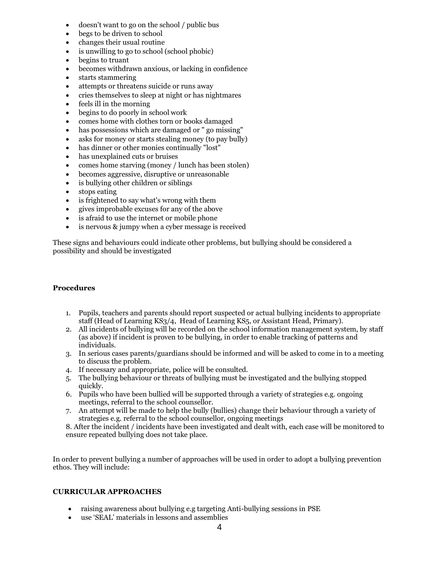- doesn't want to go on the school / public bus
- begs to be driven to school
- changes their usual routine
- is unwilling to go to school (school phobic)
- begins to truant
- becomes withdrawn anxious, or lacking in confidence
- starts stammering
- attempts or threatens suicide or runs away
- cries themselves to sleep at night or has nightmares
- feels ill in the morning
- begins to do poorly in school work
- comes home with clothes torn or books damaged
- has possessions which are damaged or " go missing"
- asks for money or starts stealing money (to pay bully)
- has dinner or other monies continually "lost"
- has unexplained cuts or bruises
- comes home starving (money / lunch has been stolen)
- becomes aggressive, disruptive or unreasonable
- is bullying other children or siblings
- stops eating
- is frightened to say what's wrong with them
- gives improbable excuses for any of the above
- is afraid to use the internet or mobile phone
- is nervous & jumpy when a cyber message is received

These signs and behaviours could indicate other problems, but bullying should be considered a possibility and should be investigated

#### **Procedures**

- 1. Pupils, teachers and parents should report suspected or actual bullying incidents to appropriate staff (Head of Learning KS3/4, Head of Learning KS5, or Assistant Head, Primary).
- 2. All incidents of bullying will be recorded on the school information management system, by staff (as above) if incident is proven to be bullying, in order to enable tracking of patterns and individuals.
- 3. In serious cases parents/guardians should be informed and will be asked to come in to a meeting to discuss the problem.
- 4. If necessary and appropriate, police will be consulted.
- 5. The bullying behaviour or threats of bullying must be investigated and the bullying stopped quickly.
- 6. Pupils who have been bullied will be supported through a variety of strategies e.g. ongoing meetings, referral to the school counsellor.
- 7. An attempt will be made to help the bully (bullies) change their behaviour through a variety of strategies e.g. referral to the school counsellor, ongoing meetings

8. After the incident / incidents have been investigated and dealt with, each case will be monitored to ensure repeated bullying does not take place.

In order to prevent bullying a number of approaches will be used in order to adopt a bullying prevention ethos. They will include:

## **CURRICULAR APPROACHES**

- raising awareness about bullying e.g targeting Anti-bullying sessions in PSE
- use 'SEAL' materials in lessons and assemblies